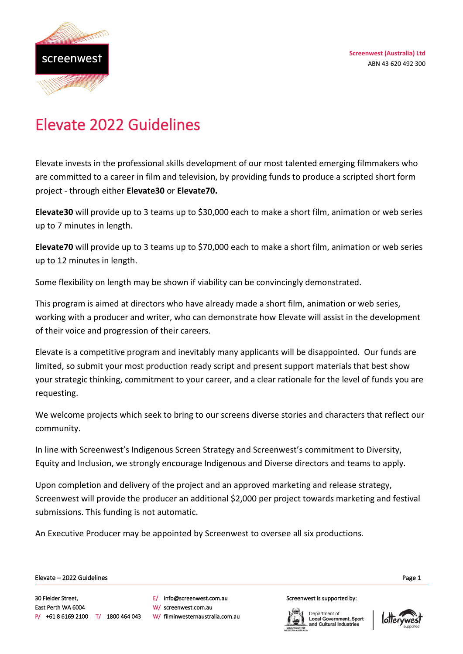

# Elevate 2022 Guidelines

Elevate invests in the professional skills development of our most talented emerging filmmakers who are committed to a career in film and television, by providing funds to produce a scripted short form project - through either **Elevate30** or **Elevate70.**

**Elevate30** will provide up to 3 teams up to \$30,000 each to make a short film, animation or web series up to 7 minutes in length.

**Elevate70** will provide up to 3 teams up to \$70,000 each to make a short film, animation or web series up to 12 minutes in length.

Some flexibility on length may be shown if viability can be convincingly demonstrated.

This program is aimed at directors who have already made a short film, animation or web series, working with a producer and writer, who can demonstrate how Elevate will assist in the development of their voice and progression of their careers.

Elevate is a competitive program and inevitably many applicants will be disappointed. Our funds are limited, so submit your most production ready script and present support materials that best show your strategic thinking, commitment to your career, and a clear rationale for the level of funds you are requesting.

We welcome projects which seek to bring to our screens diverse stories and characters that reflect our community.

In line with Screenwest's Indigenous Screen Strategy and Screenwest's commitment to Diversity, Equity and Inclusion, we strongly encourage Indigenous and Diverse directors and teams to apply.

Upon completion and delivery of the project and an approved marketing and release strategy, Screenwest will provide the producer an additional \$2,000 per project towards marketing and festival submissions. This funding is not automatic.

An Executive Producer may be appointed by Screenwest to oversee all six productions.

Page 1 Elevate – 2022 Guidelines

Ī

30 Fielder Street, East Perth WA 6004 P/ +61 8 6169 2100 T/ 1800 464 043 E/ info@screenwest.com.au W/ screenwest.com.au W/ filminwesternaustralia.com.au Screenwest is supported by:

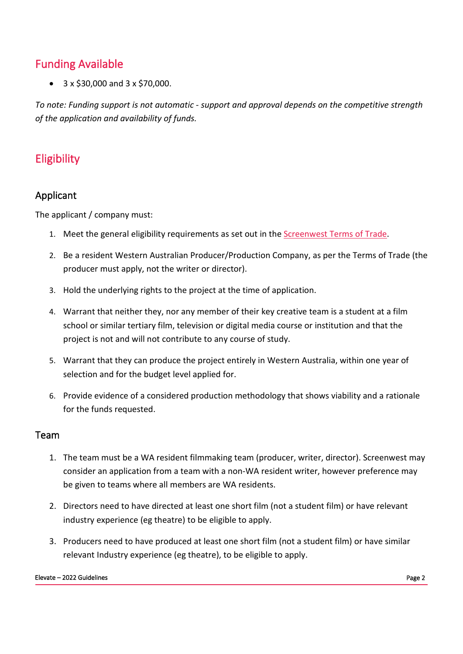# Funding Available

 $\bullet$  3 x \$30,000 and 3 x \$70,000.

*To note: Funding support is not automatic - support and approval depends on the competitive strength of the application and availability of funds.* 

# Eligibility

## Applicant

The applicant / company must:

- 1. Meet the general eligibility requirements as set out in the [Screenwest Terms of Trade.](https://www.screenwest.com.au/wp-content/uploads/2017/07/Screenwest-Australia-Ltd-Terms-of-Trade-from-20-December-2017.pdf)
- 2. Be a resident Western Australian Producer/Production Company, as per the Terms of Trade (the producer must apply, not the writer or director).
- 3. Hold the underlying rights to the project at the time of application.
- 4. Warrant that neither they, nor any member of their key creative team is a student at a film school or similar tertiary film, television or digital media course or institution and that the project is not and will not contribute to any course of study.
- 5. Warrant that they can produce the project entirely in Western Australia, within one year of selection and for the budget level applied for.
- 6. Provide evidence of a considered production methodology that shows viability and a rationale for the funds requested.

#### Team

- 1. The team must be a WA resident filmmaking team (producer, writer, director). Screenwest may consider an application from a team with a non-WA resident writer, however preference may be given to teams where all members are WA residents.
- 2. Directors need to have directed at least one short film (not a student film) or have relevant industry experience (eg theatre) to be eligible to apply.
- 3. Producers need to have produced at least one short film (not a student film) or have similar relevant Industry experience (eg theatre), to be eligible to apply.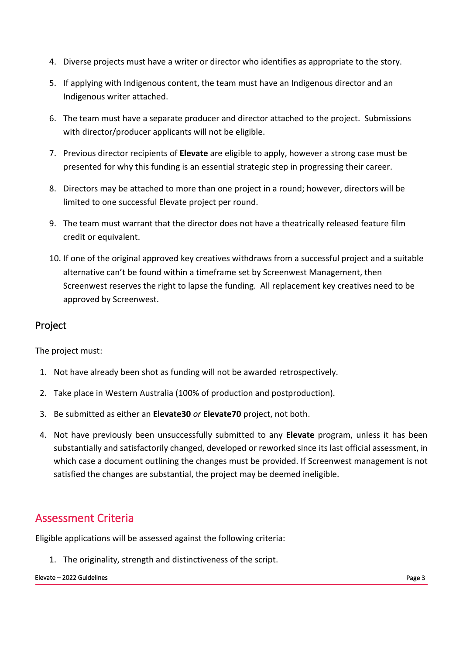- 4. Diverse projects must have a writer or director who identifies as appropriate to the story.
- 5. If applying with Indigenous content, the team must have an Indigenous director and an Indigenous writer attached.
- 6. The team must have a separate producer and director attached to the project. Submissions with director/producer applicants will not be eligible.
- 7. Previous director recipients of **Elevate** are eligible to apply, however a strong case must be presented for why this funding is an essential strategic step in progressing their career.
- 8. Directors may be attached to more than one project in a round; however, directors will be limited to one successful Elevate project per round.
- 9. The team must warrant that the director does not have a theatrically released feature film credit or equivalent.
- 10. If one of the original approved key creatives withdraws from a successful project and a suitable alternative can't be found within a timeframe set by Screenwest Management, then Screenwest reserves the right to lapse the funding. All replacement key creatives need to be approved by Screenwest.

### Project

The project must:

- 1. Not have already been shot as funding will not be awarded retrospectively.
- 2. Take place in Western Australia (100% of production and postproduction).
- 3. Be submitted as either an **Elevate30** *or* **Elevate70** project, not both.
- 4. Not have previously been unsuccessfully submitted to any **Elevate** program, unless it has been substantially and satisfactorily changed, developed or reworked since its last official assessment, in which case a document outlining the changes must be provided. If Screenwest management is not satisfied the changes are substantial, the project may be deemed ineligible.

# Assessment Criteria

Eligible applications will be assessed against the following criteria:

1. The originality, strength and distinctiveness of the script.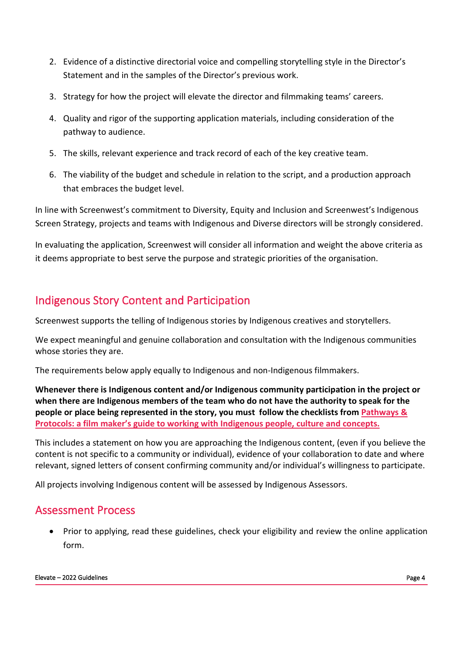- 2. Evidence of a distinctive directorial voice and compelling storytelling style in the Director's Statement and in the samples of the Director's previous work.
- 3. Strategy for how the project will elevate the director and filmmaking teams' careers.
- 4. Quality and rigor of the supporting application materials, including consideration of the pathway to audience.
- 5. The skills, relevant experience and track record of each of the key creative team.
- 6. The viability of the budget and schedule in relation to the script, and a production approach that embraces the budget level.

In line with Screenwest's commitment to Diversity, Equity and Inclusion and Screenwest's Indigenous Screen Strategy, projects and teams with Indigenous and Diverse directors will be strongly considered.

In evaluating the application, Screenwest will consider all information and weight the above criteria as it deems appropriate to best serve the purpose and strategic priorities of the organisation.

# Indigenous Story Content and Participation

Screenwest supports the telling of Indigenous stories by Indigenous creatives and storytellers.

We expect meaningful and genuine collaboration and consultation with the Indigenous communities whose stories they are.

The requirements below apply equally to Indigenous and non-Indigenous filmmakers.

**Whenever there is Indigenous content and/or Indigenous community participation in the project or when there are Indigenous members of the team who do not have the authority to speak for the people or place being represented in the story, you must follow the checklists from [Pathways &](https://www.screenaustralia.gov.au/about-us/doing-business-with-us/indigenous-content/indigenous-protocols)  [Protocols: a film maker's guide to working with Indigenous people, culture and concepts.](https://www.screenaustralia.gov.au/about-us/doing-business-with-us/indigenous-content/indigenous-protocols)** 

This includes a statement on how you are approaching the Indigenous content, (even if you believe the content is not specific to a community or individual), evidence of your collaboration to date and where relevant, signed letters of consent confirming community and/or individual's willingness to participate.

All projects involving Indigenous content will be assessed by Indigenous Assessors.

## Assessment Process

• Prior to applying, read these guidelines, check your eligibility and review the online application form.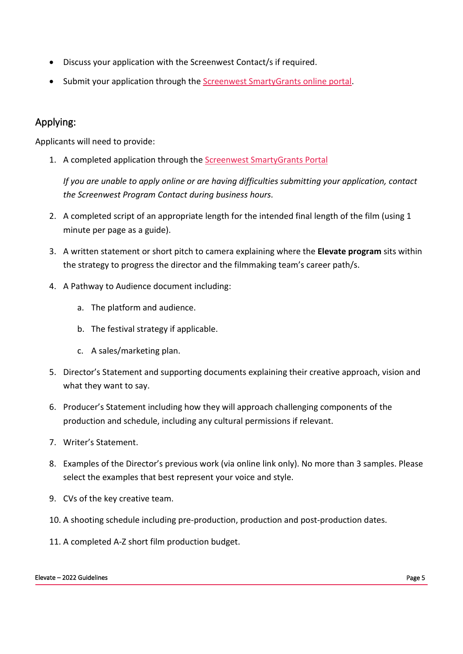- Discuss your application with the Screenwest Contact/s if required.
- Submit your application through the Screenwest SmartyGrants online portal.

## Applying:

Applicants will need to provide:

1. A completed application through the Screenwest SmartyGrants Portal

*If you are unable to apply online or are having difficulties submitting your application, contact the Screenwest Program Contact during business hours.*

- 2. A completed script of an appropriate length for the intended final length of the film (using 1 minute per page as a guide).
- 3. A written statement or short pitch to camera explaining where the **Elevate program** sits within the strategy to progress the director and the filmmaking team's career path/s.
- 4. A Pathway to Audience document including:
	- a. The platform and audience.
	- b. The festival strategy if applicable.
	- c. A sales/marketing plan.
- 5. Director's Statement and supporting documents explaining their creative approach, vision and what they want to say.
- 6. Producer's Statement including how they will approach challenging components of the production and schedule, including any cultural permissions if relevant.
- 7. Writer's Statement.
- 8. Examples of the Director's previous work (via online link only). No more than 3 samples. Please select the examples that best represent your voice and style.
- 9. CVs of the key creative team.
- 10. A shooting schedule including pre-production, production and post-production dates.
- 11. A completed A-Z short film production budget.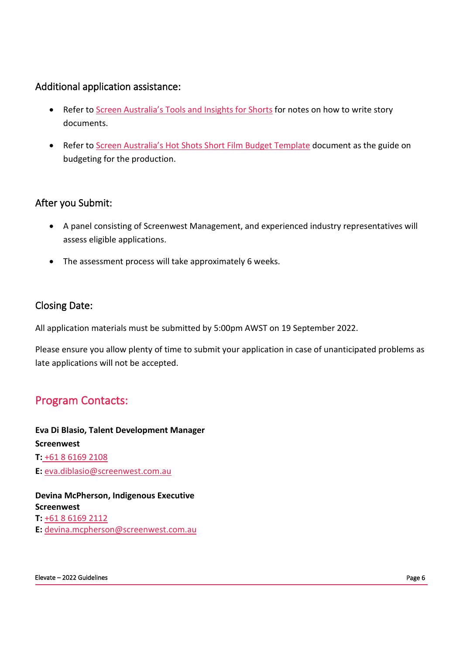#### Additional application assistance:

- Refer to Screen Australia's Tools and Insights for Shorts for notes on how to write story documents.
- Refer to Screen Australia's Hot Shots Short Film Budget Template document as the guide on budgeting for the production.

#### After you Submit:

- A panel consisting of Screenwest Management, and experienced industry representatives will assess eligible applications.
- The assessment process will take approximately 6 weeks.

#### Closing Date:

All application materials must be submitted by 5:00pm AWST on 19 September 2022.

Please ensure you allow plenty of time to submit your application in case of unanticipated problems as late applications will not be accepted.

# Program Contacts:

**Eva Di Blasio, Talent Development Manager Screenwest T:** +61 8 6169 2108 **E:** eva.diblasio@screenwest.com.au

**Devina McPherson, Indigenous Executive Screenwest T:** +61 8 6169 2112 **E:** devina.mcpherson@screenwest.com.au